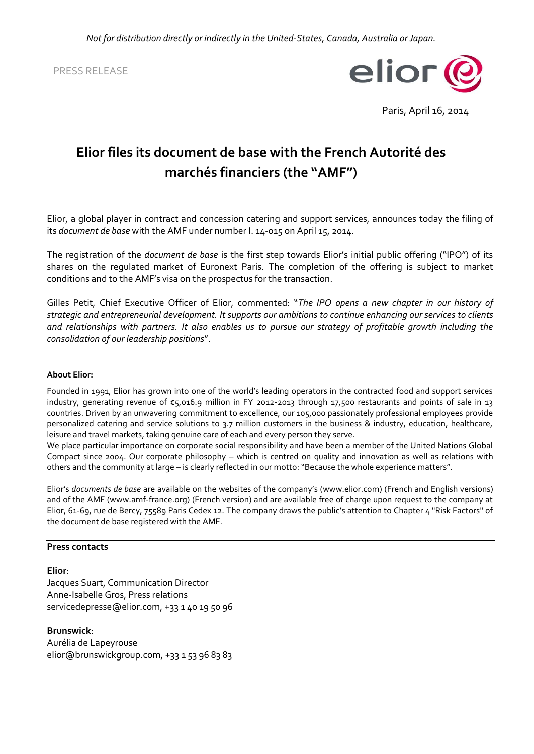PRESS RELEASE



Paris, April 16, 2014

# **Elior files its document de base with the French Autorité des marchés financiers (the "AMF")**

Elior, a global player in contract and concession catering and support services, announces today the filing of its *document de base* with the AMF under number I. 14-015 on April 15, 2014.

The registration of the *document de base* is the first step towards Elior's initial public offering ("IPO") of its shares on the regulated market of Euronext Paris. The completion of the offering is subject to market conditions and to the AMF's visa on the prospectus for the transaction.

Gilles Petit, Chief Executive Officer of Elior, commented: "*The IPO opens a new chapter in our history of strategic and entrepreneurial development. It supports our ambitions to continue enhancing our services to clients and relationships with partners. It also enables us to pursue our strategy of profitable growth including the consolidation of our leadership positions*".

## **About Elior:**

Founded in 1991, Elior has grown into one of the world's leading operators in the contracted food and support services industry, generating revenue of €5,016.9 million in FY 2012-2013 through 17,500 restaurants and points of sale in 13 countries. Driven by an unwavering commitment to excellence, our 105,000 passionately professional employees provide personalized catering and service solutions to 3.7 million customers in the business & industry, education, healthcare, leisure and travel markets, taking genuine care of each and every person they serve.

We place particular importance on corporate social responsibility and have been a member of the United Nations Global Compact since 2004. Our corporate philosophy – which is centred on quality and innovation as well as relations with others and the community at large – is clearly reflected in our motto: "Because the whole experience matters".

Elior's *documents de base* are available on the websites of the company's ([www.elior.com\)](http://www.elior.com/) (French and English versions) and of the AMF [\(www.amf-france.org\)](file://brunswick.pri/core/bnet/files/Companies/12379/Accounts/30438/Lists/Shared%20Documents/MEDIA%20-%20Communiqués%20de%20Presse/Enregistrement%20du%20DDB/www.amf-france.org) (French version) and are available free of charge upon request to the company at Elior, 61-69, rue de Bercy, 75589 Paris Cedex 12. The company draws the public's attention to Chapter 4 "Risk Factors" of the document de base registered with the AMF.

#### **Press contacts**

## **Elior**:

Jacques Suart, Communication Director Anne-Isabelle Gros, Press relations servicedepresse@elior.com, +33 1 40 19 50 96

**Brunswick**: Aurélia de Lapeyrouse elior@brunswickgroup.com, +33 1 53 96 83 83